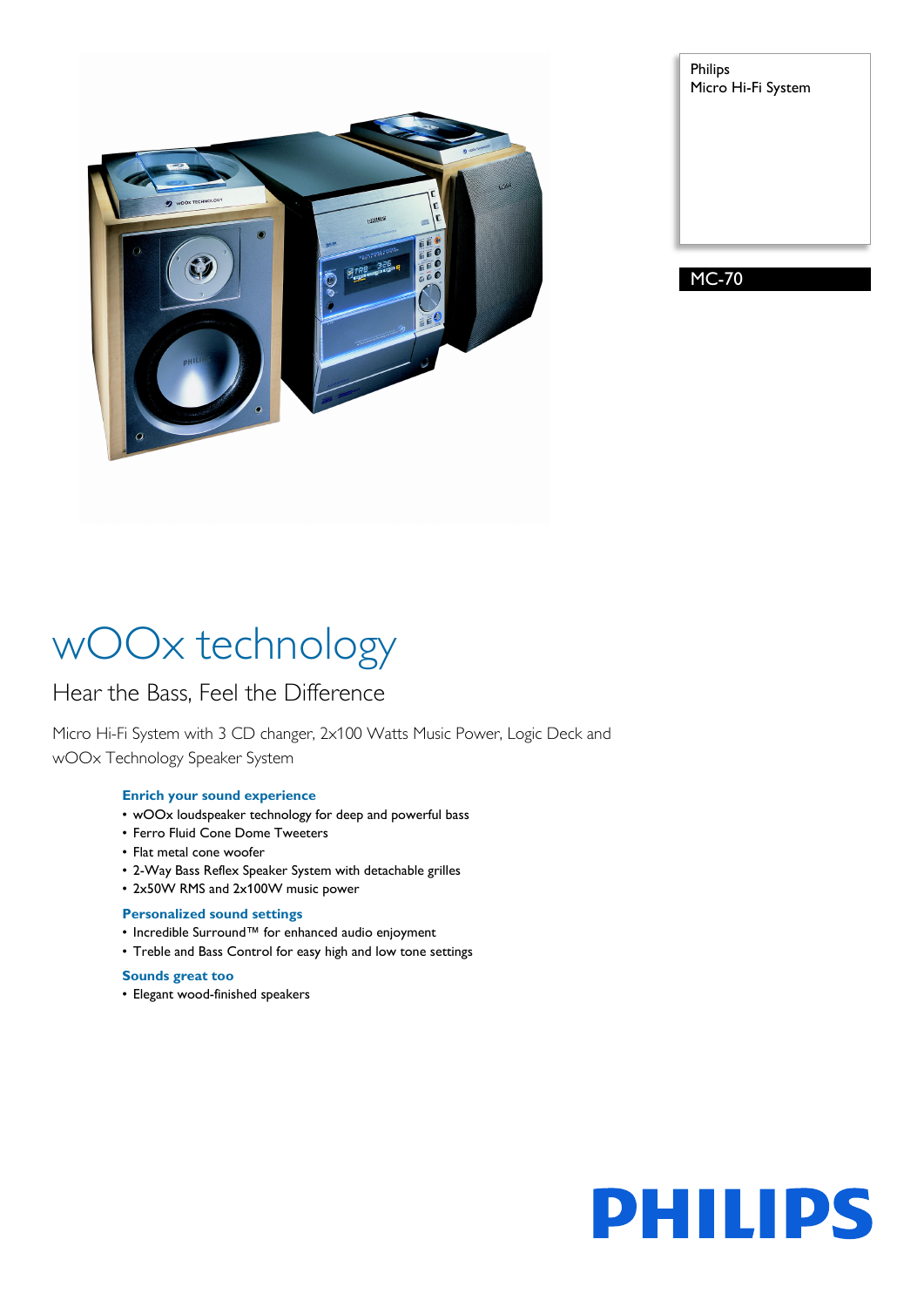

| Philips | Micro Hi-Fi System |  |
|---------|--------------------|--|
|         |                    |  |
|         |                    |  |
|         |                    |  |
|         |                    |  |

MC-70

# wOOx technology

### Hear the Bass, Feel the Difference

Micro Hi-Fi System with 3 CD changer, 2x100 Watts Music Power, Logic Deck and wOOx Technology Speaker System

#### **Enrich your sound experience**

- wOOx loudspeaker technology for deep and powerful bass
- Ferro Fluid Cone Dome Tweeters
- Flat metal cone woofer
- 2-Way Bass Reflex Speaker System with detachable grilles
- 2x50W RMS and 2x100W music power

#### **Personalized sound settings**

- Incredible Surround™ for enhanced audio enjoyment
- Treble and Bass Control for easy high and low tone settings

### **Sounds great too**

• Elegant wood-finished speakers